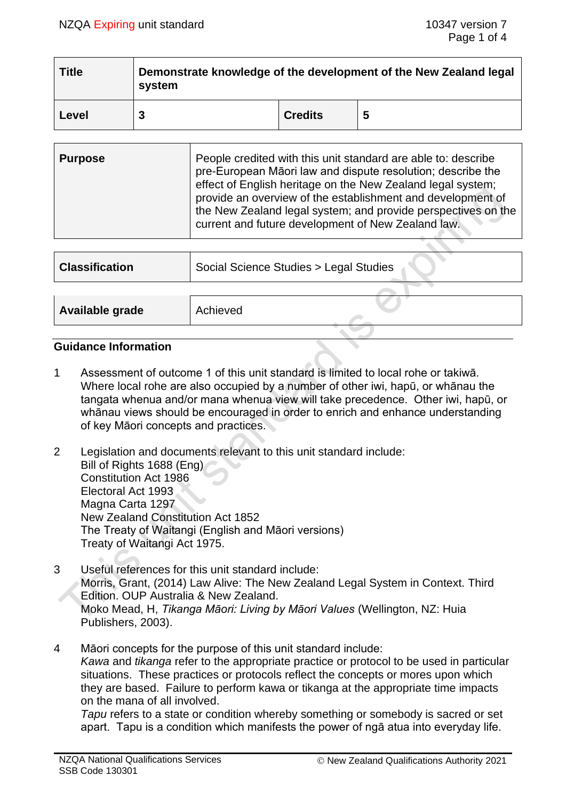| <b>Title</b> | Demonstrate knowledge of the development of the New Zealand legal<br>system |                |   |  |  |
|--------------|-----------------------------------------------------------------------------|----------------|---|--|--|
| Level        | 3                                                                           | <b>Credits</b> | 5 |  |  |

| <b>Classification</b> | Social Science Studies > Legal Studies |  |  |
|-----------------------|----------------------------------------|--|--|
|                       |                                        |  |  |
| Available grade       | Achieved                               |  |  |
|                       |                                        |  |  |

#### **Guidance Information**

- 1 Assessment of outcome 1 of this unit standard is limited to local rohe or takiwā. Where local rohe are also occupied by a number of other iwi, hapū, or whānau the tangata whenua and/or mana whenua view will take precedence. Other iwi, hapū, or whānau views should be encouraged in order to enrich and enhance understanding of key Māori concepts and practices.
- 2 Legislation and documents relevant to this unit standard include: Bill of Rights 1688 (Eng) Constitution Act 1986 Electoral Act 1993 Magna Carta 1297 New Zealand Constitution Act 1852 The Treaty of Waitangi (English and Māori versions) Treaty of Waitangi Act 1975.
- 3 Useful references for this unit standard include: Morris, Grant, (2014) Law Alive: The New Zealand Legal System in Context. Third Edition. OUP Australia & New Zealand. Moko Mead, H, *Tikanga Māori: Living by Māori Values* (Wellington, NZ: Huia Publishers, 2003).
- 4 Māori concepts for the purpose of this unit standard include: *Kawa* and *tikanga* refer to the appropriate practice or protocol to be used in particular situations. These practices or protocols reflect the concepts or mores upon which they are based. Failure to perform kawa or tikanga at the appropriate time impacts on the mana of all involved.

*Tapu* refers to a state or condition whereby something or somebody is sacred or set apart. Tapu is a condition which manifests the power of ngā atua into everyday life.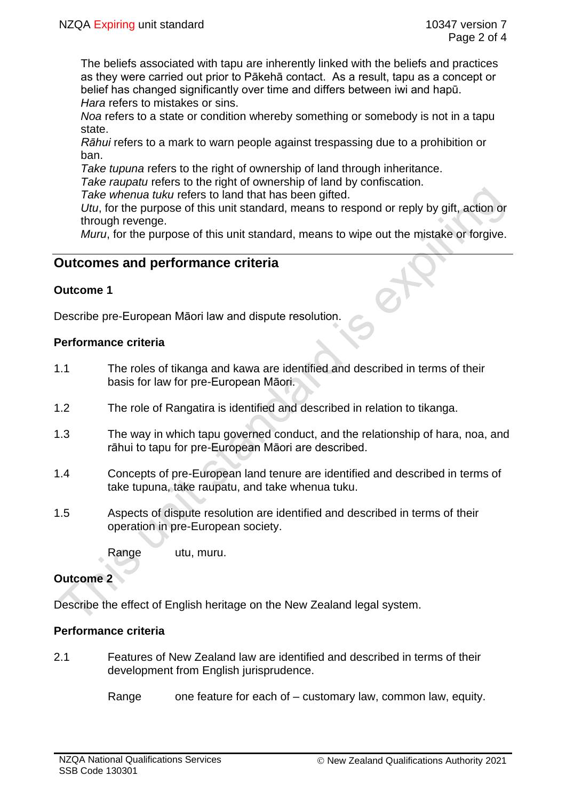The beliefs associated with tapu are inherently linked with the beliefs and practices as they were carried out prior to Pākehā contact. As a result, tapu as a concept or belief has changed significantly over time and differs between iwi and hapū. *Hara* refers to mistakes or sins.

*Noa* refers to a state or condition whereby something or somebody is not in a tapu state.

*Rāhui* refers to a mark to warn people against trespassing due to a prohibition or ban.

*Take tupuna* refers to the right of ownership of land through inheritance.

*Take raupatu* refers to the right of ownership of land by confiscation.

*Take whenua tuku* refers to land that has been gifted.

*Utu*, for the purpose of this unit standard, means to respond or reply by gift, action or through revenge.

*Muru*, for the purpose of this unit standard, means to wipe out the mistake or forgive.

# **Outcomes and performance criteria**

### **Outcome 1**

Describe pre-European Māori law and dispute resolution.

### **Performance criteria**

- 1.1 The roles of tikanga and kawa are identified and described in terms of their basis for law for pre-European Māori.
- 1.2 The role of Rangatira is identified and described in relation to tikanga.
- 1.3 The way in which tapu governed conduct, and the relationship of hara, noa, and rāhui to tapu for pre-European Māori are described.
- 1.4 Concepts of pre-European land tenure are identified and described in terms of take tupuna, take raupatu, and take whenua tuku.
- 1.5 Aspects of dispute resolution are identified and described in terms of their operation in pre-European society.

Range utu, muru.

## **Outcome 2**

Describe the effect of English heritage on the New Zealand legal system.

#### **Performance criteria**

2.1 Features of New Zealand law are identified and described in terms of their development from English jurisprudence.

Range one feature for each of  $-$  customary law, common law, equity.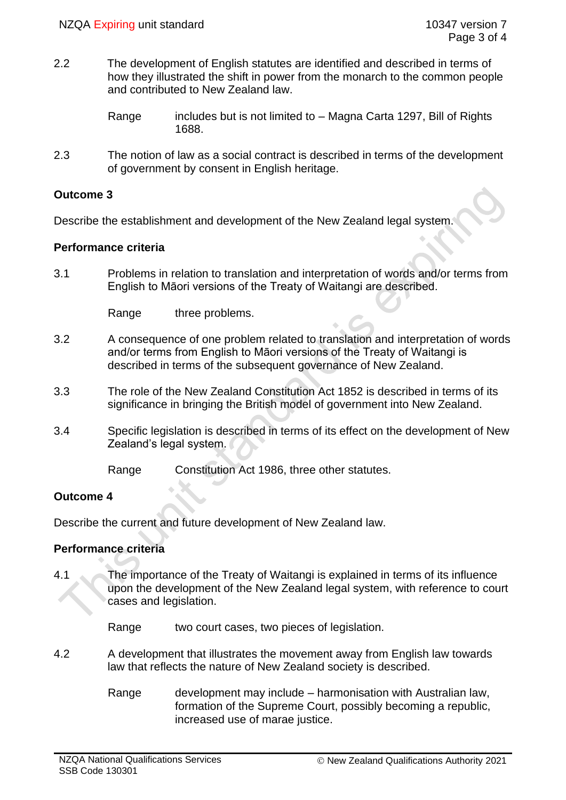2.2 The development of English statutes are identified and described in terms of how they illustrated the shift in power from the monarch to the common people and contributed to New Zealand law.

2.3 The notion of law as a social contract is described in terms of the development of government by consent in English heritage.

#### **Outcome 3**

Describe the establishment and development of the New Zealand legal system.

### **Performance criteria**

3.1 Problems in relation to translation and interpretation of words and/or terms from English to Māori versions of the Treaty of Waitangi are described.

Range three problems.

- 3.2 A consequence of one problem related to translation and interpretation of words and/or terms from English to Māori versions of the Treaty of Waitangi is described in terms of the subsequent governance of New Zealand.
- 3.3 The role of the New Zealand Constitution Act 1852 is described in terms of its significance in bringing the British model of government into New Zealand.
- 3.4 Specific legislation is described in terms of its effect on the development of New Zealand's legal system.

Range Constitution Act 1986, three other statutes.

## **Outcome 4**

Describe the current and future development of New Zealand law.

## **Performance criteria**

4.1 The importance of the Treaty of Waitangi is explained in terms of its influence upon the development of the New Zealand legal system, with reference to court cases and legislation.

Range two court cases, two pieces of legislation.

- 4.2 A development that illustrates the movement away from English law towards law that reflects the nature of New Zealand society is described.
	- Range development may include harmonisation with Australian law, formation of the Supreme Court, possibly becoming a republic, increased use of marae justice.

Range includes but is not limited to – Magna Carta 1297, Bill of Rights 1688.